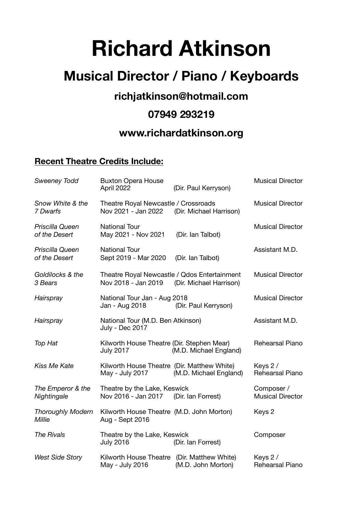# **Richard Atkinson**

# **Musical Director / Piano / Keyboards**

## **richjatkinson@hotmail.com**

#### **07949 293219**

## **www.richardatkinson.org**

#### **Recent Theatre Credits Include:**

| <b>Sweeney Todd</b>                | <b>Buxton Opera House</b><br>April 2022                             | (Dir. Paul Kerryson)    | <b>Musical Director</b>               |
|------------------------------------|---------------------------------------------------------------------|-------------------------|---------------------------------------|
| Snow White & the<br>7 Dwarfs       | Theatre Royal Newcastle / Crossroads<br>Nov 2021 - Jan 2022         | (Dir. Michael Harrison) | <b>Musical Director</b>               |
| Priscilla Queen<br>of the Desert   | <b>National Tour</b><br>May 2021 - Nov 2021                         | (Dir. Ian Talbot)       | <b>Musical Director</b>               |
| Priscilla Queen<br>of the Desert   | <b>National Tour</b><br>Sept 2019 - Mar 2020                        | (Dir. Ian Talbot)       | Assistant M.D.                        |
| Goldilocks & the<br>3 Bears        | Theatre Royal Newcastle / Qdos Entertainment<br>Nov 2018 - Jan 2019 | (Dir. Michael Harrison) | <b>Musical Director</b>               |
| Hairspray                          | National Tour Jan - Aug 2018<br>Jan - Aug 2018                      | (Dir. Paul Kerryson)    | <b>Musical Director</b>               |
| Hairspray                          | National Tour (M.D. Ben Atkinson)<br>July - Dec 2017                |                         | Assistant M.D.                        |
| Top Hat                            | Kilworth House Theatre (Dir. Stephen Mear)<br><b>July 2017</b>      | (M.D. Michael England)  | Rehearsal Piano                       |
| <b>Kiss Me Kate</b>                | Kilworth House Theatre (Dir. Matthew White)<br>May - July 2017      | (M.D. Michael England)  | Keys 2 /<br>Rehearsal Piano           |
| The Emperor & the<br>Nightingale   | Theatre by the Lake, Keswick<br>Nov 2016 - Jan 2017                 | (Dir. Ian Forrest)      | Composer /<br><b>Musical Director</b> |
| <b>Thoroughly Modern</b><br>Millie | Kilworth House Theatre (M.D. John Morton)<br>Aug - Sept 2016        |                         | Keys 2                                |
| <b>The Rivals</b>                  | Theatre by the Lake, Keswick<br><b>July 2016</b>                    | (Dir. Ian Forrest)      | Composer                              |
| <b>West Side Story</b>             | Kilworth House Theatre (Dir. Matthew White)<br>May - July 2016      | (M.D. John Morton)      | Keys 2 /<br>Rehearsal Piano           |